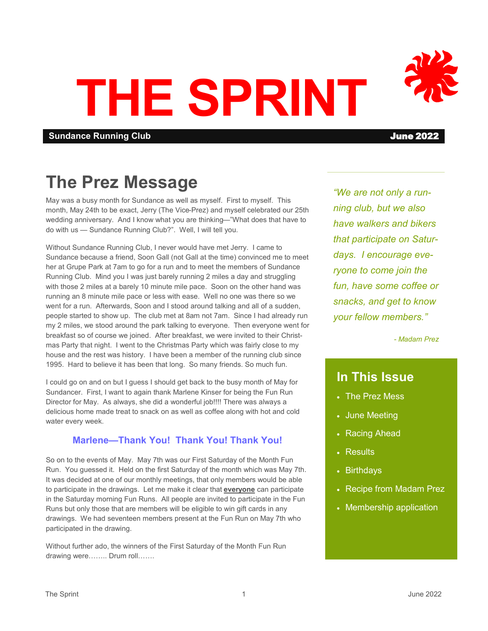# **THE SPRINT**

**Sundance Running Club** June 2022

# **The Prez Message**

May was a busy month for Sundance as well as myself. First to myself. This month, May 24th to be exact, Jerry (The Vice-Prez) and myself celebrated our 25th wedding anniversary. And I know what you are thinking—"What does that have to do with us — Sundance Running Club?". Well, I will tell you.

Without Sundance Running Club, I never would have met Jerry. I came to Sundance because a friend, Soon Gall (not Gall at the time) convinced me to meet her at Grupe Park at 7am to go for a run and to meet the members of Sundance Running Club. Mind you I was just barely running 2 miles a day and struggling with those 2 miles at a barely 10 minute mile pace. Soon on the other hand was running an 8 minute mile pace or less with ease. Well no one was there so we went for a run. Afterwards, Soon and I stood around talking and all of a sudden, people started to show up. The club met at 8am not 7am. Since I had already run my 2 miles, we stood around the park talking to everyone. Then everyone went for breakfast so of course we joined. After breakfast, we were invited to their Christmas Party that night. I went to the Christmas Party which was fairly close to my house and the rest was history. I have been a member of the running club since 1995. Hard to believe it has been that long. So many friends. So much fun.

I could go on and on but I guess I should get back to the busy month of May for Sundancer. First, I want to again thank Marlene Kinser for being the Fun Run Director for May. As always, she did a wonderful job!!!! There was always a delicious home made treat to snack on as well as coffee along with hot and cold water every week.

# **Marlene—Thank You! Thank You! Thank You!**

So on to the events of May. May 7th was our First Saturday of the Month Fun Run. You guessed it. Held on the first Saturday of the month which was May 7th. It was decided at one of our monthly meetings, that only members would be able to participate in the drawings. Let me make it clear that **everyone** can participate in the Saturday morning Fun Runs. All people are invited to participate in the Fun Runs but only those that are members will be eligible to win gift cards in any drawings. We had seventeen members present at the Fun Run on May 7th who participated in the drawing.

Without further ado, the winners of the First Saturday of the Month Fun Run drawing were…….. Drum roll…….

*"We are not only a running club, but we also have walkers and bikers that participate on Saturdays. I encourage everyone to come join the fun, have some coffee or snacks, and get to know your fellow members."*

*- Madam Prez*

# **In This Issue**

- The Prez Mess
- June Meeting
- Racing Ahead
- Results
- Birthdays
- Recipe from Madam Prez
- Membership application

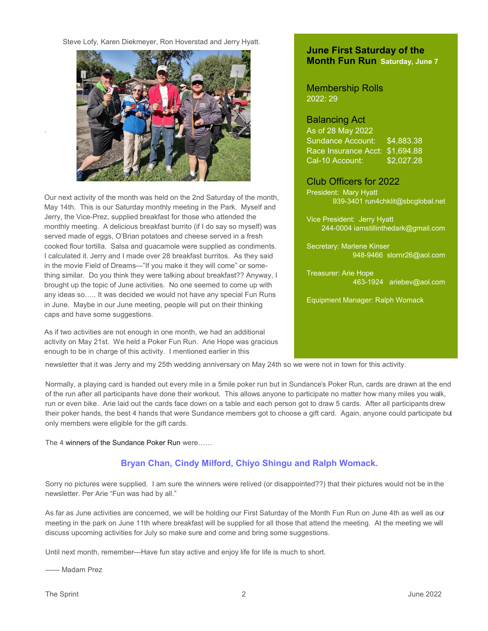Steve Lofy, Karen Diekmeyer, Ron Hoverstad and Jerry Hyatt.



Our next activity of the month was held on the 2nd Saturday of the month, May 14th. This is our Saturday monthly meeting in the Park. Myself and Jerry, the Vice-Prez, supplied breakfast for those who attended the monthly meeting. A delicious breakfast burrito (if I do say so myself) was served made of eggs, O'Brian potatoes and cheese served in a fresh cooked flour tortilla. Salsa and guacamole were supplied as condiments. I calculated it. Jerry and I made over 28 breakfast burritos. As they said in the movie Field of Dreams—"If you make it they will come" or something similar. Do you think they were talking about breakfast?? Anyway, I brought up the topic of June activities. No one seemed to come up with any ideas so….. It was decided we would not have any special Fun Runs in June. Maybe in our June meeting, people will put on their thinking caps and have some suggestions.

As if two activities are not enough in one month, we had an additional activity on May 21st. We held a Poker Fun Run. Arie Hope was gracious enough to be in charge of this activity. I mentioned earlier in this

# **June First Saturday of the Month Fun Run Saturday, June 7**

# Membership Rolls 2022: 29

## Balancing Act

As of 28 May 2022 Sundance Account: \$4,883.38 Race Insurance Acct: \$1,694.88 Cal-10 Account: \$2,027.28

Club Officers for 2022 President: Mary Hyatt 939-3401 run4chklit@sbcglobal.net

Vice President: Jerry Hyatt 244-0004 iamstillinthedark@gmail.com

Secretary: Marlene Kinser 948-9466 slornr26@aol.com

Treasurer: Arie Hope 463-1924 ariebev@aol.com

Equipment Manager: Ralph Womack

newsletter that it was Jerry and my 25th wedding anniversary on May 24th so we were not in town for this activity.

Normally, a playing card is handed out every mile in a 5mile poker run but in Sundance's Poker Run, cards are drawn at the end of the run after all participants have done their workout. This allows anyone to participate no matter how many miles you walk, run or even bike. Arie laid out the cards face down on a table and each person got to draw 5 cards. After all participants drew their poker hands, the best 4 hands that were Sundance members got to choose a gift card. Again, anyone could participate but only members were eligible for the gift cards.

The 4 winners of the Sundance Poker Run were……

# **Bryan Chan, Cindy Milford, Chiyo Shingu and Ralph Womack.**

Sorry no pictures were supplied. I am sure the winners were relived (or disappointed??) that their pictures would not be in the newsletter. Per Arie "Fun was had by all."

As far as June activities are concerned, we will be holding our First Saturday of the Month Fun Run on June 4th as well as our meeting in the park on June 11th where breakfast will be supplied for all those that attend the meeting. At the meeting we will discuss upcoming activities for July so make sure and come and bring some suggestions.

Until next month, remember—Have fun stay active and enjoy life for life is much to short.

—— Madam Prez

.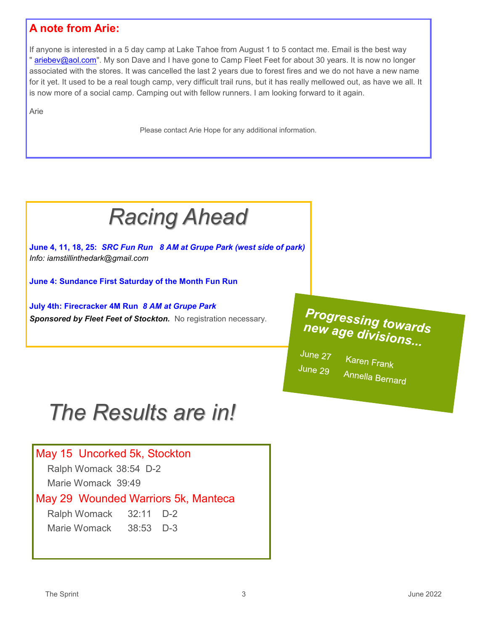# **A note from Arie:**

If anyone is interested in a 5 day camp at Lake Tahoe from August 1 to 5 contact me. Email is the best way " [ariebev@aol.com".](mailto:ariebev@aol.com) My son Dave and I have gone to Camp Fleet Feet for about 30 years. It is now no longer associated with the stores. It was cancelled the last 2 years due to forest fires and we do not have a new name for it yet. It used to be a real tough camp, very difficult trail runs, but it has really mellowed out, as have we all. It is now more of a social camp. Camping out with fellow runners. I am looking forward to it again.

Arie

Please contact Arie Hope for any additional information.



**June 4, 11, 18, 25:** *SRC Fun Run 8 AM at Grupe Park (west side of park) Info: iamstillinthedark@gmail.com* 

**June 4: Sundance First Saturday of the Month Fun Run** 

**July 4th: Firecracker 4M Run** *8 AM at Grupe Park*  Sponsored by Fleet Feet of Stockton. No registration necessary.

# **Progressing towards** new age divisions...

June 27 June 29

Karen Frank Annella Bernard

# *The Results are in!*

# May 15 Uncorked 5k, Stockton

Ralph Womack 38:54 D-2

Marie Womack 39:49

# May 29 Wounded Warriors 5k, Manteca

Ralph Womack 32:11 D-2 Marie Womack 38:53 D-3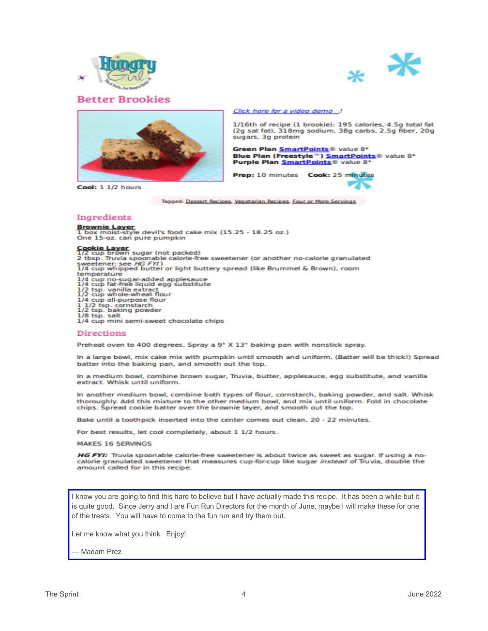

**Better Brookies** 





Cool: 1 1/2 hours

Click here for a video demo

1/16th of recipe (1 brookie): 195 calories, 4.5g total fat (2g sat fat), 318mg sodium, 38g carbs, 2.5g fiber, 20g sugars, 3g protein

Green Plan SmartPoints® value 8\* Blue Plan (Freestyle") SmartPoints® value 8\*<br>Purple Plan SmartPoints® value 8\*

Prep: 10 minutes Cook: 25 minutes

Tagged: Dessert Recipes, Vegetarian Recipes, Four or More Servings

#### Ingredients

Brownie Layer<br>1 box moist-style devil's food cake mix (15.25 - 18.25 oz.)<br>One 15-oz. can pure pumpkin

Cookie Layer<br>1/2 cup brown sugar (not packed) 2 tbsp. Truvia spoonable calorie-free sweetener (or another no-calorie granulated<br>sweetener; see HG FYI)<br>1/4 cup whipped butter or light buttery spread (like Brummel & Brown), room temperature

1/4 cup no-sugar-added applesauce<br>1/4 cup fat-free liquid egg substitute

1/2 tsp. vanilla extract<br>1/2 tsp. vanilla extract<br>1/2 cup whole-wheat flour<br>1/4 cup all-purpose flour<br>1/2 tsp. cornstarch<br>1/2 tsp. saiti sami sunot c

1/4 cup mini semi-sweet chocolate chips

#### **Directions**

Preheat oven to 400 degrees. Spray a 9" X 13" baking pan with nonstick spray.

In a large bowl, mix cake mix with pumpkin until smooth and uniform. (Batter will be thick!) Spread batter into the baking pan, and smooth out the top.

In a medium bowl, combine brown sugar, Truvia, butter, applesauce, egg substitute, and vanilla extract. Whisk until uniform.

In another medium bowl, combine both types of flour, cornstarch, baking powder, and salt. Whisk thoroughly. Add this mixture to the other medium bowl, and mix until uniform. Fold in chocolate chips. Spread cookie batter over the brownie layer, and smooth out the top.

Bake until a toothpick inserted into the center comes out clean, 20 - 22 minutes.

For best results, let cool completely, about 1 1/2 hours.

**MAKES 16 SERVINGS** 

HG FYI: Truvia spoonable calorie-free sweetener is about twice as sweet as sugar. If using a nocalorie granulated sweetener that measures cup-for-cup like sugar instead of Truvia, double the amount called for in this recipe.

I know you are going to find this hard to believe but I have actually made this recipe. It has been a while but it is quite good. Since Jerry and I are Fun Run Directors for the month of June, maybe I will make these for one of the treats. You will have to come to the fun run and try them out.

Let me know what you think. Enjoy!

Madam Prez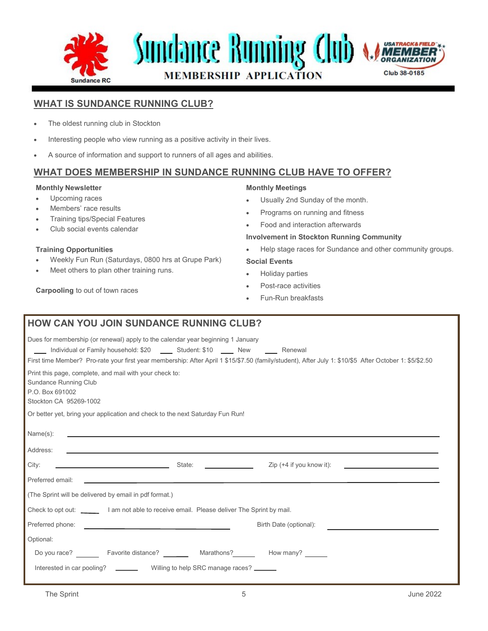

# **WHAT IS SUNDANCE RUNNING CLUB?**

- The oldest running club in Stockton
- Interesting people who view running as a positive activity in their lives.
- A source of information and support to runners of all ages and abilities.

# **WHAT DOES MEMBERSHIP IN SUNDANCE RUNNING CLUB HAVE TO OFFER?**

## **Monthly Newsletter**

- Upcoming races
- Members' race results
- Training tips/Special Features
- Club social events calendar

#### **Training Opportunities**

• Weekly Fun Run (Saturdays, 0800 hrs at Grupe Park)

**HOW CAN YOU JOIN SUNDANCE RUNNING CLUB?**

Meet others to plan other training runs.

## **Carpooling** to out of town races

#### **Monthly Meetings**

- Usually 2nd Sunday of the month.
- Programs on running and fitness
- Food and interaction afterwards

#### **Involvement in Stockton Running Community**

• Help stage races for Sundance and other community groups.

# **Social Events**

- Holiday parties
- Post-race activities
- Fun-Run breakfasts

| <b>HUW CAN TUU JUIN SUNDANCE RUNNING CLUD?</b>                                                                                                                                                                                                                                                                               |
|------------------------------------------------------------------------------------------------------------------------------------------------------------------------------------------------------------------------------------------------------------------------------------------------------------------------------|
| Dues for membership (or renewal) apply to the calendar year beginning 1 January<br>Individual or Family household: \$20 _____ Student: \$10 ____ New _____ Renewal<br>First time Member? Pro-rate your first year membership: After April 1 \$15/\$7.50 (family/student), After July 1: \$10/\$5 After October 1: \$5/\$2.50 |
| Print this page, complete, and mail with your check to:<br>Sundance Running Club<br>P.O. Box 691002<br>Stockton CA 95269-1002                                                                                                                                                                                                |
| Or better yet, bring your application and check to the next Saturday Fun Run!                                                                                                                                                                                                                                                |
| Name(s):                                                                                                                                                                                                                                                                                                                     |
| Address:<br><u> 1989 - Johann Barbara, martin amerikan basal dan berasal dalam basal dalam basal dan berasal dalam basal dala</u>                                                                                                                                                                                            |
| <u>State: Express and State:</u><br>City:<br>Zip $(+4)$ if you know it):<br>the control of the control of the control of the control of the control of                                                                                                                                                                       |
| Preferred email:                                                                                                                                                                                                                                                                                                             |
| (The Sprint will be delivered by email in pdf format.)                                                                                                                                                                                                                                                                       |
| Check to opt out: ________ I am not able to receive email. Please deliver The Sprint by mail.                                                                                                                                                                                                                                |
| Preferred phone:<br>Birth Date (optional):<br>the control of the control of the control of the control of the control of                                                                                                                                                                                                     |
| Optional:                                                                                                                                                                                                                                                                                                                    |
| Do you race? __________ Favorite distance? ___________ Marathons? ________ How many? ______                                                                                                                                                                                                                                  |
| Interested in car pooling? __________ Willing to help SRC manage races? ______                                                                                                                                                                                                                                               |